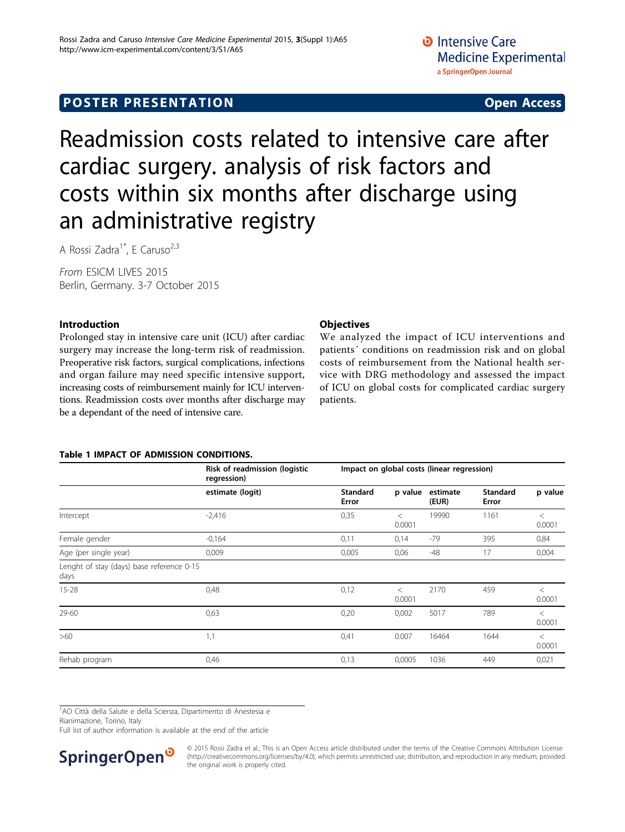# <span id="page-0-0"></span>**POSTER PRESENTATION CONSUMING ACCESS**

# Readmission costs related to intensive care after cardiac surgery. analysis of risk factors and costs within six months after discharge using an administrative registry

A Rossi Zadra<sup>1\*</sup>, E Caruso<sup>2,3</sup>

From ESICM LIVES 2015 Berlin, Germany. 3-7 October 2015

# Introduction

Prolonged stay in intensive care unit (ICU) after cardiac surgery may increase the long-term risk of readmission. Preoperative risk factors, surgical complications, infections and organ failure may need specific intensive support, increasing costs of reimbursement mainly for ICU interventions. Readmission costs over months after discharge may be a dependant of the need of intensive care.

## **Objectives**

We analyzed the impact of ICU interventions and patients´ conditions on readmission risk and on global costs of reimbursement from the National health service with DRG methodology and assessed the impact of ICU on global costs for complicated cardiac surgery patients.

### Table 1 IMPACT OF ADMISSION CONDITIONS.

|                                                   | Risk of readmission (logistic<br>regression) | Impact on global costs (linear regression) |                   |                   |                          |                   |  |  |
|---------------------------------------------------|----------------------------------------------|--------------------------------------------|-------------------|-------------------|--------------------------|-------------------|--|--|
|                                                   | estimate (logit)                             | <b>Standard</b><br>Error                   | p value           | estimate<br>(EUR) | <b>Standard</b><br>Error | p value           |  |  |
| Intercept                                         | $-2,416$                                     | 0,35                                       | $\,<\,$<br>0.0001 | 19990             | 1161                     | $\lt$<br>0.0001   |  |  |
| Female gender                                     | $-0,164$                                     | 0,11                                       | 0,14              | $-79$             | 395                      | 0,84              |  |  |
| Age (per single year)                             | 0,009                                        | 0,005                                      | 0,06              | $-48$             | 17                       | 0,004             |  |  |
| Lenght of stay (days) base reference 0-15<br>days |                                              |                                            |                   |                   |                          |                   |  |  |
| $15 - 28$                                         | 0,48                                         | 0,12                                       | $\,<\,$<br>0.0001 | 2170              | 459                      | $\,<\,$<br>0.0001 |  |  |
| 29-60                                             | 0,63                                         | 0,20                                       | 0,002             | 5017              | 789                      | $\,<\,$<br>0.0001 |  |  |
| >60                                               | 1,1                                          | 0,41                                       | 0.007             | 16464             | 1644                     | $\lt$<br>0.0001   |  |  |
| Rehab program                                     | 0,46                                         | 0,13                                       | 0,0005            | 1036              | 449                      | 0,021             |  |  |

<sup>1</sup>AO Città della Salute e della Scienza, Dipartimento di Anestesia e

Rianimazione, Torino, Italy

Full list of author information is available at the end of the article



© 2015 Rossi Zadra et al.; This is an Open Access article distributed under the terms of the Creative Commons Attribution License [\(http://creativecommons.org/licenses/by/4.0](http://creativecommons.org/licenses/by/4.0)), which permits unrestricted use, distribution, and reproduction in any medium, provided the original work is properly cited.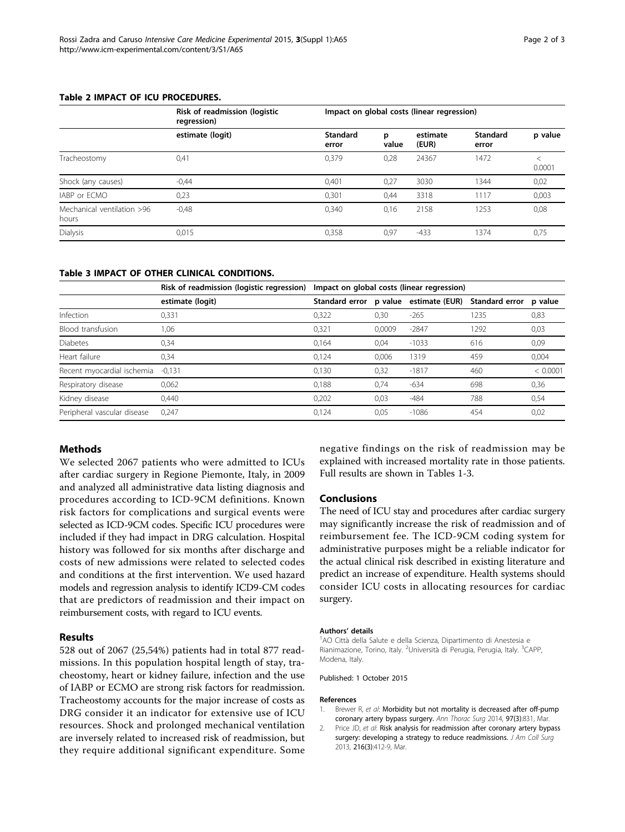#### Table 2 IMPACT OF ICU PROCEDURES.

|                                     | Risk of readmission (logistic<br>regression) | Impact on global costs (linear regression) |            |                   |                   |         |  |  |
|-------------------------------------|----------------------------------------------|--------------------------------------------|------------|-------------------|-------------------|---------|--|--|
|                                     | estimate (logit)                             | <b>Standard</b><br>error                   | p<br>value | estimate<br>(EUR) | Standard<br>error | p value |  |  |
| Tracheostomy                        | 0,41                                         | 0.379                                      | 0,28       | 24367             | 1472              | 0.0001  |  |  |
| Shock (any causes)                  | $-0.44$                                      | 0,401                                      | 0,27       | 3030              | 1344              | 0,02    |  |  |
| IABP or ECMO                        | 0,23                                         | 0.301                                      | 0,44       | 3318              | 1117              | 0,003   |  |  |
| Mechanical ventilation >96<br>hours | $-0.48$                                      | 0.340                                      | 0.16       | 2158              | 1253              | 0,08    |  |  |
| <b>Dialysis</b>                     | 0,015                                        | 0,358                                      | 0,97       | $-433$            | 1374              | 0,75    |  |  |

### Table 3 IMPACT OF OTHER CLINICAL CONDITIONS.

|                             | Risk of readmission (logistic regression) | Impact on global costs (linear regression) |        |                                       |                |          |  |
|-----------------------------|-------------------------------------------|--------------------------------------------|--------|---------------------------------------|----------------|----------|--|
|                             | estimate (logit)                          |                                            |        | Standard error p value estimate (EUR) | Standard error | p value  |  |
| Infection                   | 0,331                                     | 0,322                                      | 0,30   | $-265$                                | 1235           | 0,83     |  |
| Blood transfusion           | 1,06                                      | 0,321                                      | 0.0009 | $-2847$                               | 1292           | 0,03     |  |
| <b>Diabetes</b>             | 0.34                                      | 0.164                                      | 0.04   | $-1033$                               | 616            | 0,09     |  |
| Heart failure               | 0,34                                      | 0,124                                      | 0,006  | 1319                                  | 459            | 0,004    |  |
| Recent myocardial ischemia  | $-0.131$                                  | 0.130                                      | 0,32   | $-1817$                               | 460            | < 0.0001 |  |
| Respiratory disease         | 0,062                                     | 0.188                                      | 0.74   | $-634$                                | 698            | 0,36     |  |
| Kidney disease              | 0.440                                     | 0.202                                      | 0.03   | $-484$                                | 788            | 0,54     |  |
| Peripheral vascular disease | 0.247                                     | 0.124                                      | 0.05   | $-1086$                               | 454            | 0,02     |  |

## Methods

We selected 2067 patients who were admitted to ICUs after cardiac surgery in Regione Piemonte, Italy, in 2009 and analyzed all administrative data listing diagnosis and procedures according to ICD-9CM definitions. Known risk factors for complications and surgical events were selected as ICD-9CM codes. Specific ICU procedures were included if they had impact in DRG calculation. Hospital history was followed for six months after discharge and costs of new admissions were related to selected codes and conditions at the first intervention. We used hazard models and regression analysis to identify ICD9-CM codes that are predictors of readmission and their impact on reimbursement costs, with regard to ICU events.

#### Results

528 out of 2067 (25,54%) patients had in total 877 readmissions. In this population hospital length of stay, tracheostomy, heart or kidney failure, infection and the use of IABP or ECMO are strong risk factors for readmission. Tracheostomy accounts for the major increase of costs as DRG consider it an indicator for extensive use of ICU resources. Shock and prolonged mechanical ventilation are inversely related to increased risk of readmission, but they require additional significant expenditure. Some

negative findings on the risk of readmission may be explained with increased mortality rate in those patients. Full results are shown in Tables [1](#page-0-0)-3.

#### Conclusions

The need of ICU stay and procedures after cardiac surgery may significantly increase the risk of readmission and of reimbursement fee. The ICD-9CM coding system for administrative purposes might be a reliable indicator for the actual clinical risk described in existing literature and predict an increase of expenditure. Health systems should consider ICU costs in allocating resources for cardiac surgery.

#### Authors' details <sup>1</sup>

AO Città della Salute e della Scienza, Dipartimento di Anestesia e Rianimazione, Torino, Italy. <sup>2</sup>Università di Perugia, Perugia, Italy. <sup>3</sup>CAPP, Modena, Italy.

#### Published: 1 October 2015

#### References

- 1. Brewer R, et al: [Morbidity but not mortality is decreased after off-pump](http://www.ncbi.nlm.nih.gov/pubmed/24200395?dopt=Abstract) [coronary artery bypass surgery.](http://www.ncbi.nlm.nih.gov/pubmed/24200395?dopt=Abstract) Ann Thorac Surg 2014, 97(3):831, Mar.
- 2. Price JD, et al: [Risk analysis for readmission after coronary artery bypass](http://www.ncbi.nlm.nih.gov/pubmed/23313544?dopt=Abstract) [surgery: developing a strategy to reduce readmissions.](http://www.ncbi.nlm.nih.gov/pubmed/23313544?dopt=Abstract) J Am Coll Surg 2013, 216(3):412-9, Mar.